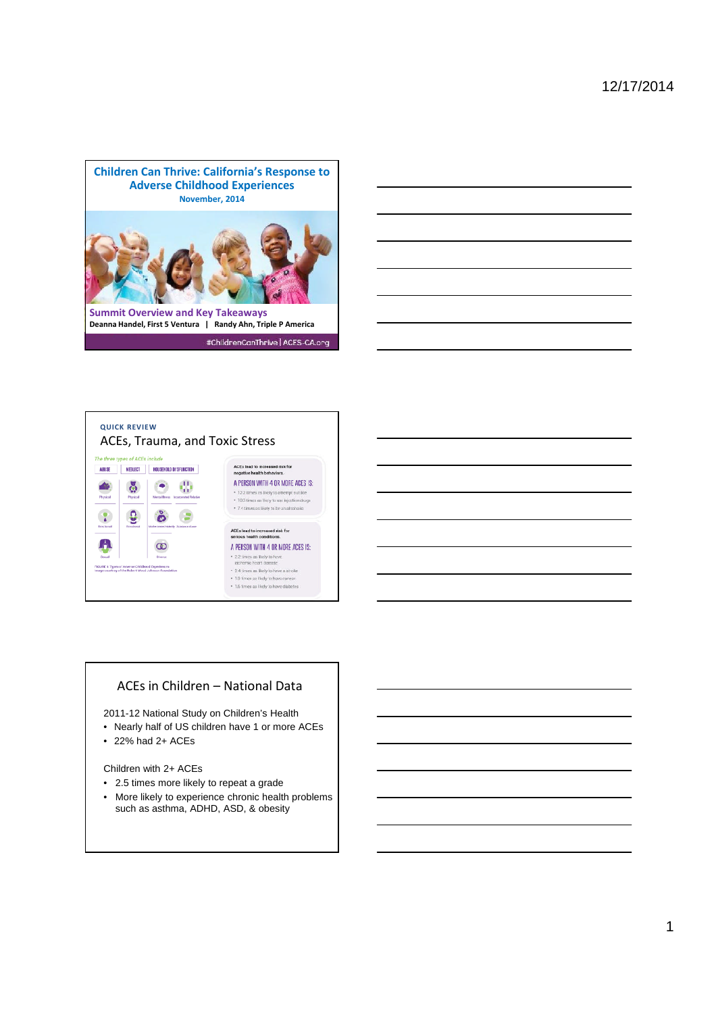





### ACEs in Children – National Data

2011-12 National Study on Children's Health

- Nearly half of US children have 1 or more ACEs
- 22% had 2+ ACEs

Children with 2+ ACEs

- 2.5 times more likely to repeat a grade
- More likely to experience chronic health problems such as asthma, ADHD, ASD, & obesity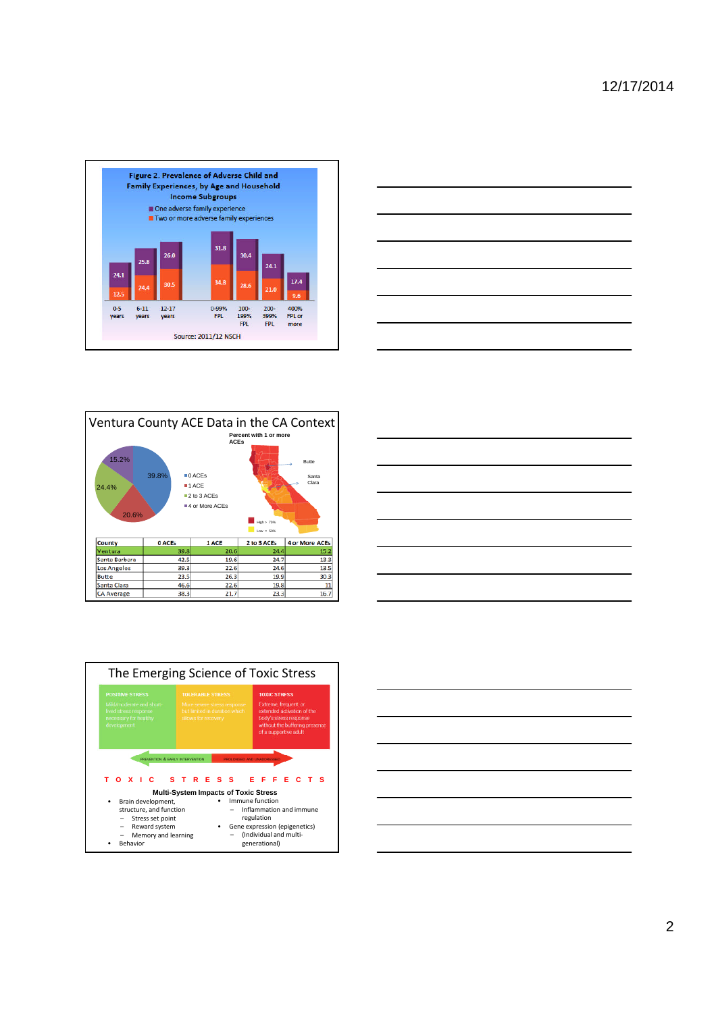









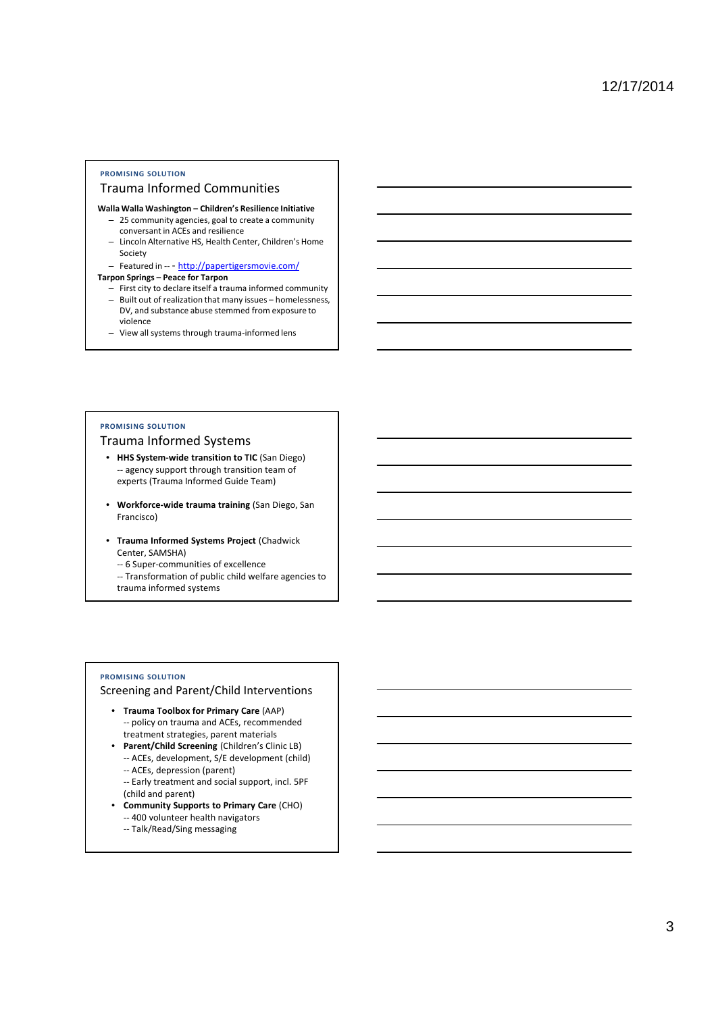### **PROMISING SOLUTION**

#### Trauma Informed Communities

- **Walla Walla Washington Children's Resilience Initiative**
	- 25 community agencies, goal to create a community conversant in ACEs and resilience
	- Lincoln Alternative HS, Health Center, Children's Home Society
	- Featured in -- http://papertigersmovie.com/

### **Tarpon Springs – Peace for Tarpon**

- First city to declare itself a trauma informed community – Built out of realization that many issues – homelessness, DV, and substance abuse stemmed from exposure to violence
- View all systems through trauma-informed lens

## **PROMISING SOLUTION**

## Trauma Informed Systems

- **HHS System-wide transition to TIC** (San Diego) -- agency support through transition team of experts (Trauma Informed Guide Team)
- **Workforce-wide trauma training** (San Diego, San Francisco)
- **Trauma Informed Systems Project** (Chadwick Center, SAMSHA)

-- 6 Super-communities of excellence

-- Transformation of public child welfare agencies to trauma informed systems

#### **PROMISING SOLUTION**

### Screening and Parent/Child Interventions

- **Trauma Toolbox for Primary Care** (AAP) -- policy on trauma and ACEs, recommended treatment strategies, parent materials
- **Parent/Child Screening** (Children's Clinic LB) -- ACEs, development, S/E development (child)
	- -- ACEs, depression (parent)
	- -- Early treatment and social support, incl. 5PF (child and parent)
- **Community Supports to Primary Care** (CHO)
	- -- 400 volunteer health navigators
	- -- Talk/Read/Sing messaging